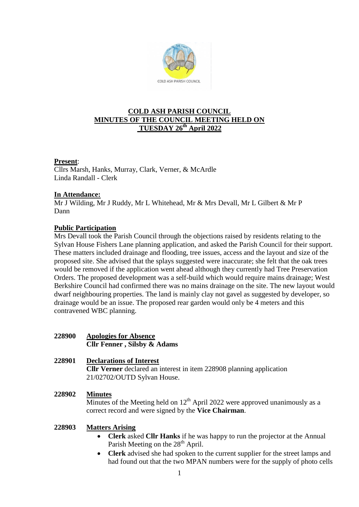

# **COLD ASH PARISH COUNCIL MINUTES OF THE COUNCIL MEETING HELD ON TUESDAY 26th April 2022**

### **Present**:

Cllrs Marsh, Hanks, Murray, Clark, Verner, & McArdle Linda Randall - Clerk

# **In Attendance:**

Mr J Wilding, Mr J Ruddy, Mr L Whitehead, Mr & Mrs Devall, Mr L Gilbert & Mr P Dann

# **Public Participation**

Mrs Devall took the Parish Council through the objections raised by residents relating to the Sylvan House Fishers Lane planning application, and asked the Parish Council for their support. These matters included drainage and flooding, tree issues, access and the layout and size of the proposed site. She advised that the splays suggested were inaccurate; she felt that the oak trees would be removed if the application went ahead although they currently had Tree Preservation Orders. The proposed development was a self-build which would require mains drainage; West Berkshire Council had confirmed there was no mains drainage on the site. The new layout would dwarf neighbouring properties. The land is mainly clay not gavel as suggested by developer, so drainage would be an issue. The proposed rear garden would only be 4 meters and this contravened WBC planning.

# **228900 Apologies for Absence Cllr Fenner , Silsby & Adams**

### **228901 Declarations of Interest Cllr Verner** declared an interest in item 228908 planning application 21/02702/OUTD Sylvan House.

#### **228902 Minutes**

Minutes of the Meeting held on  $12<sup>th</sup>$  April 2022 were approved unanimously as a correct record and were signed by the **Vice Chairman**.

### **228903 Matters Arising**

- **Clerk** asked **Cllr Hanks** if he was happy to run the projector at the Annual Parish Meeting on the 28<sup>th</sup> April.
- **Clerk** advised she had spoken to the current supplier for the street lamps and had found out that the two MPAN numbers were for the supply of photo cells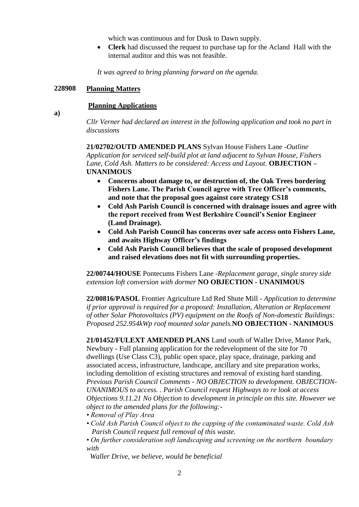which was continuous and for Dusk to Dawn supply.

 **Clerk** had discussed the request to purchase tap for the Acland Hall with the internal auditor and this was not feasible.

*It was agreed to bring planning forward on the agenda.*

### **228908 Planning Matters**

# **Planning Applications**

**a)**

*Cllr Verner had declared an interest in the following application and took no part in discussions*

**21/02702/OUTD AMENDED PLANS** Sylvan House Fishers Lane *-Outline Application for serviced self-build plot at land adjacent to Sylvan House, Fishers Lane, Cold Ash. Matters to be considered: Access and Layout.* **OBJECTION – UNANIMOUS**

- **Concerns about damage to, or destruction of, the Oak Trees bordering Fishers Lane. The Parish Council agree with Tree Officer's comments, and note that the proposal goes against core strategy CS18**
- **Cold Ash Parish Council is concerned with drainage issues and agree with the report received from West Berkshire Council's Senior Engineer (Land Drainage).**
- **Cold Ash Parish Council has concerns over safe access onto Fishers Lane, and awaits Highway Officer's findings**
- **Cold Ash Parish Council believes that the scale of proposed development and raised elevations does not fit with surrounding properties.**

**22/00744/HOUSE** Pontecums Fishers Lane -*Replacement garage, single storey side extension loft conversion with dormer* **NO OBJECTION - UNANIMOUS**

**22/00816/PASOL** Frontier Agriculture Ltd Red Shute Mill *- Application to determine if prior approval is required for a proposed: Installation, Alteration or Replacement of other Solar Photovoltaics (PV) equipment on the Roofs of Non-domestic Buildings: Proposed 252.954kWp roof mounted solar panels.***NO OBJECTION - NANIMOUS**

**21/01452/FULEXT AMENDED PLANS** Land south of Waller Drive, Manor Park, Newbury - Full planning application for the redevelopment of the site for 70 dwellings (Use Class C3), public open space, play space, drainage, parking and associated access, infrastructure, landscape, ancillary and site preparation works, including demolition of existing structures and removal of existing hard standing. *Previous Parish Council Comments - NO OBJECTION to development. OBJECTION-UNANIMOUS to access. . Parish Council request Highways to re look at access Objections 9.11.21 No Objection to development in principle on this site. However we object to the amended plans for the following:-*

- *Removal of Play Area*
- *Cold Ash Parish Council object to the capping of the contaminated waste. Cold Ash Parish Council request full removal of this waste.*
- *On further consideration soft landscaping and screening on the northern boundary with* 
	- *Waller Drive, we believe, would be beneficial*